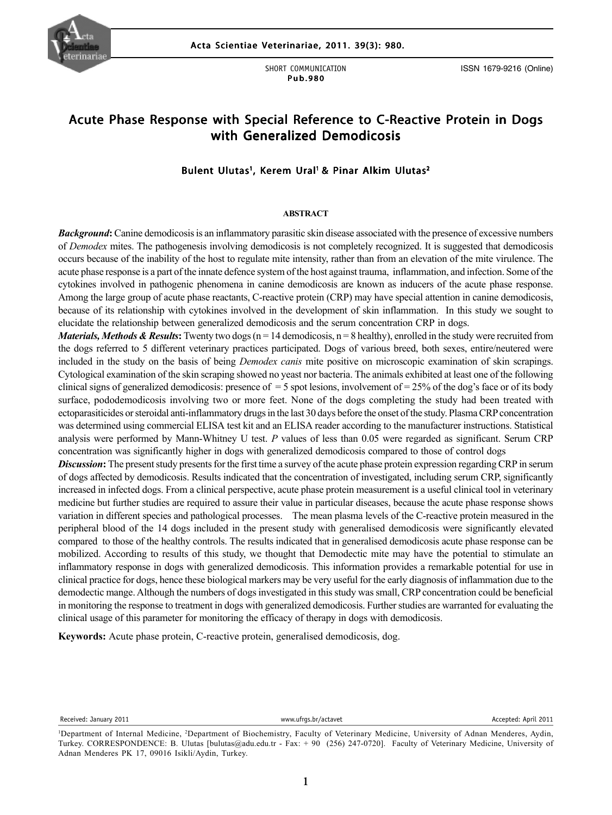

SHORT COMMUNICATION Pub.980

ISSN 1679-9216 (Online)

# Acute Phase Response with Special Reference to C-Reactive Protein in Dogs with Generalized Demodicosis

# Bulent Ulutas<sup>1</sup>, Kerem Ural<sup>1</sup> & Pinar Alkim Ulutas<sup>2</sup>

#### **ABSTRACT**

*Background***:** Canine demodicosis is an inflammatory parasitic skin disease associated with the presence of excessive numbers of *Demodex* mites. The pathogenesis involving demodicosis is not completely recognized. It is suggested that demodicosis occurs because of the inability of the host to regulate mite intensity, rather than from an elevation of the mite virulence. The acute phase response is a part of the innate defence system of the host against trauma, inflammation, and infection. Some of the cytokines involved in pathogenic phenomena in canine demodicosis are known as inducers of the acute phase response. Among the large group of acute phase reactants, C-reactive protein (CRP) may have special attention in canine demodicosis, because of its relationship with cytokines involved in the development of skin inflammation. In this study we sought to elucidate the relationship between generalized demodicosis and the serum concentration CRP in dogs.

ectoparastituties of steroidal anti-infiammatory drugs in the last 50 days before the onset of the study. I fashia CKI concentration<br>was determined using commercial ELISA test kit and an ELISA reader according to the manuf *Materials, Methods & Results*: Twenty two dogs ( $n = 14$  demodicosis,  $n = 8$  healthy), enrolled in the study were recruited from the dogs referred to 5 different veterinary practices participated. Dogs of various breed, both sexes, entire/neutered were included in the study on the basis of being *Demodex canis* mite positive on microscopic examination of skin scrapings. Cytological examination of the skin scraping showed no yeast nor bacteria. The animals exhibited at least one of the following clinical signs of generalized demodicosis: presence of  $=$  5 spot lesions, involvement of  $=$  25% of the dog's face or of its body surface, pododemodicosis involving two or more feet. None of the dogs completing the study had been treated with ectoparasiticides or steroidal anti-inflammatory drugs in the last 30 days before the onset of the study. Plasma CRP concentration analysis were performed by Mann-Whitney U test. *P* values of less than 0.05 were regarded as significant. Serum CRP concentration was significantly higher in dogs with generalized demodicosis compared to those of control dogs

*Discussion*: The present study presents for the first time a survey of the acute phase protein expression regarding CRP in serum of dogs affected by demodicosis. Results indicated that the concentration of investigated, including serum CRP, significantly increased in infected dogs. From a clinical perspective, acute phase protein measurement is a useful clinical tool in veterinary medicine but further studies are required to assure their value in particular diseases, because the acute phase response shows variation in different species and pathological processes. The mean plasma levels of the C-reactive protein measured in the peripheral blood of the 14 dogs included in the present study with generalised demodicosis were significantly elevated compared to those of the healthy controls. The results indicated that in generalised demodicosis acute phase response can be mobilized. According to results of this study, we thought that Demodectic mite may have the potential to stimulate an inflammatory response in dogs with generalized demodicosis. This information provides a remarkable potential for use in clinical practice for dogs, hence these biological markers may be very useful for the early diagnosis of inflammation due to the demodectic mange. Although the numbers of dogs investigated in this study was small, CRP concentration could be beneficial in monitoring the response to treatment in dogs with generalized demodicosis. Further studies are warranted for evaluating the clinical usage of this parameter for monitoring the efficacy of therapy in dogs with demodicosis.

**Keywords:** Acute phase protein, C-reactive protein, generalised demodicosis, dog.

Received: January 2011 **Accepted: April 2011** www.ufrgs.br/actavet **Accepted: April 2011** Accepted: April 2011

<sup>1</sup> Department of Internal Medicine, 2 Department of Biochemistry, Faculty of Veterinary Medicine, University of Adnan Menderes, Aydin, Turkey. CORRESPONDENCE: B. Ulutas [bulutas@adu.edu.tr - Fax: + 90 (256) 247-0720]. Faculty of Veterinary Medicine, University of Adnan Menderes PK 17, 09016 Isikli/Aydin, Turkey.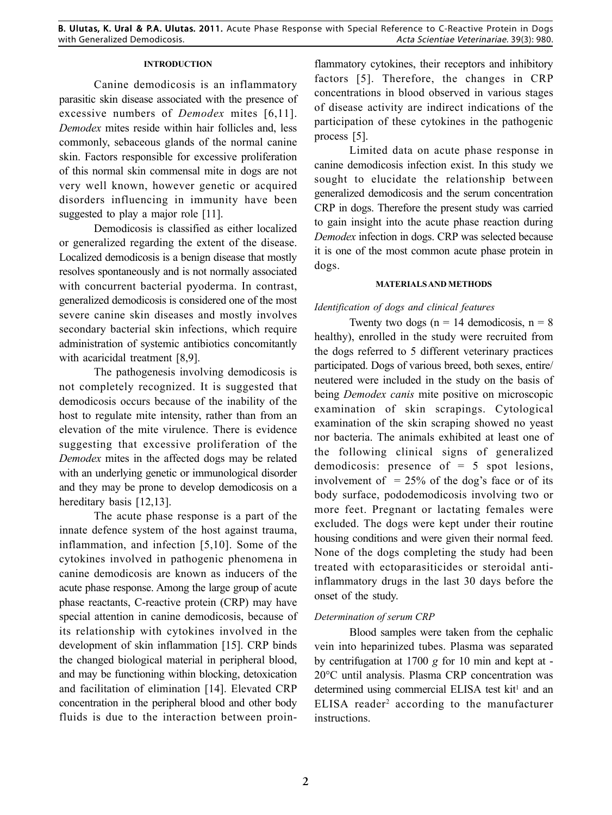## **INTRODUCTION**

Canine demodicosis is an inflammatory parasitic skin disease associated with the presence of excessive numbers of *Demodex* mites [6,11]. *Demodex* mites reside within hair follicles and, less commonly, sebaceous glands of the normal canine skin. Factors responsible for excessive proliferation of this normal skin commensal mite in dogs are not very well known, however genetic or acquired disorders influencing in immunity have been suggested to play a major role [11].

Demodicosis is classified as either localized or generalized regarding the extent of the disease. Localized demodicosis is a benign disease that mostly resolves spontaneously and is not normally associated with concurrent bacterial pyoderma. In contrast, generalized demodicosis is considered one of the most severe canine skin diseases and mostly involves secondary bacterial skin infections, which require administration of systemic antibiotics concomitantly with acaricidal treatment [8,9].

The pathogenesis involving demodicosis is not completely recognized. It is suggested that demodicosis occurs because of the inability of the host to regulate mite intensity, rather than from an elevation of the mite virulence. There is evidence suggesting that excessive proliferation of the *Demodex* mites in the affected dogs may be related with an underlying genetic or immunological disorder and they may be prone to develop demodicosis on a hereditary basis [12,13].

The acute phase response is a part of the innate defence system of the host against trauma, inflammation, and infection [5,10]. Some of the cytokines involved in pathogenic phenomena in canine demodicosis are known as inducers of the acute phase response. Among the large group of acute phase reactants, C-reactive protein (CRP) may have special attention in canine demodicosis, because of its relationship with cytokines involved in the development of skin inflammation [15]. CRP binds the changed biological material in peripheral blood, and may be functioning within blocking, detoxication and facilitation of elimination [14]. Elevated CRP concentration in the peripheral blood and other body fluids is due to the interaction between proinflammatory cytokines, their receptors and inhibitory factors [5]. Therefore, the changes in CRP concentrations in blood observed in various stages of disease activity are indirect indications of the participation of these cytokines in the pathogenic process [5].

Limited data on acute phase response in canine demodicosis infection exist. In this study we sought to elucidate the relationship between generalized demodicosis and the serum concentration CRP in dogs. Therefore the present study was carried to gain insight into the acute phase reaction during *Demodex* infection in dogs. CRP was selected because it is one of the most common acute phase protein in dogs.

### **MATERIALS AND METHODS**

### *Identification of dogs and clinical features*

Twenty two dogs ( $n = 14$  demodicosis,  $n = 8$ ) healthy), enrolled in the study were recruited from the dogs referred to 5 different veterinary practices participated. Dogs of various breed, both sexes, entire/ neutered were included in the study on the basis of being *Demodex canis* mite positive on microscopic examination of skin scrapings. Cytological examination of the skin scraping showed no yeast nor bacteria. The animals exhibited at least one of the following clinical signs of generalized demodicosis: presence of = 5 spot lesions, involvement of  $= 25\%$  of the dog's face or of its body surface, pododemodicosis involving two or more feet. Pregnant or lactating females were excluded. The dogs were kept under their routine housing conditions and were given their normal feed. None of the dogs completing the study had been treated with ectoparasiticides or steroidal antiinflammatory drugs in the last 30 days before the onset of the study.

# *Determination of serum CRP*

Blood samples were taken from the cephalic vein into heparinized tubes. Plasma was separated by centrifugation at 1700 *g* for 10 min and kept at - 20°C until analysis. Plasma CRP concentration was determined using commercial ELISA test kit<sup>1</sup> and an ELISA reader<sup>2</sup> according to the manufacturer instructions.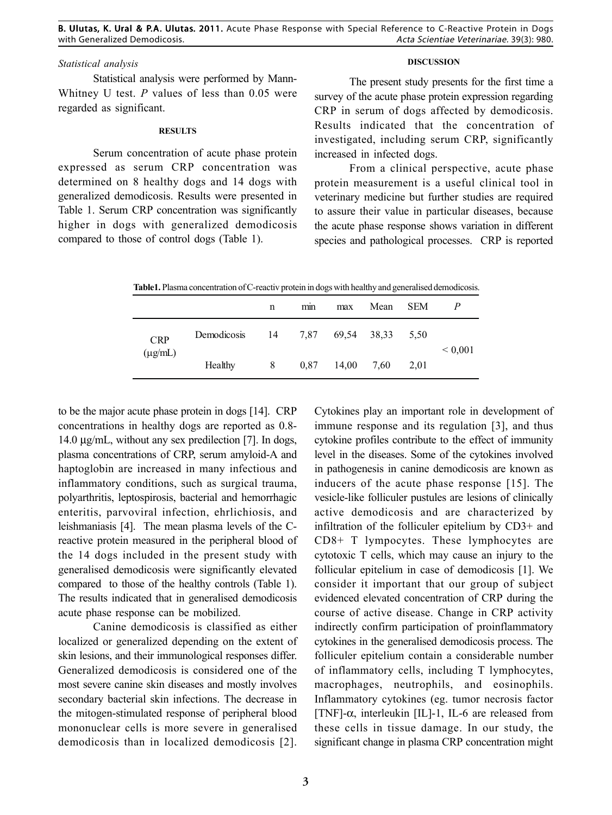# *Statistical analysis*

Statistical analysis were performed by Mann-Whitney U test. *P* values of less than 0.05 were regarded as significant.

#### **RESULTS**

Serum concentration of acute phase protein expressed as serum CRP concentration was determined on 8 healthy dogs and 14 dogs with generalized demodicosis. Results were presented in Table 1. Serum CRP concentration was significantly higher in dogs with generalized demodicosis compared to those of control dogs (Table 1).

### **DISCUSSION**

The present study presents for the first time a survey of the acute phase protein expression regarding CRP in serum of dogs affected by demodicosis. Results indicated that the concentration of investigated, including serum CRP, significantly increased in infected dogs.

From a clinical perspective, acute phase protein measurement is a useful clinical tool in veterinary medicine but further studies are required to assure their value in particular diseases, because the acute phase response shows variation in different species and pathological processes. CRP is reported

| <b>Table L.</b> Plasma concentration of C-reactiv protein in dogs with healthy and generalised demodicosis. |             |     |      |             |      |            |              |
|-------------------------------------------------------------------------------------------------------------|-------------|-----|------|-------------|------|------------|--------------|
|                                                                                                             |             | n   | mm   | max         | Mean | <b>SEM</b> |              |
| <b>CRP</b><br>$(\mu$ g/mL)                                                                                  | Demodicosis | -14 | 7.87 | 69,54 38,33 |      | 5.50       | ${}_{0.001}$ |
|                                                                                                             | Healthy     | 8   | 0.87 | 14,00       | 7.60 | 2.01       |              |

**Table1.** Plasma concentration of C-reactiv protein in dogs with healthy and generalised demodicosis.

to be the major acute phase protein in dogs [14]. CRP concentrations in healthy dogs are reported as 0.8- 14.0 µg/mL, without any sex predilection [7]. In dogs, plasma concentrations of CRP, serum amyloid-A and haptoglobin are increased in many infectious and inflammatory conditions, such as surgical trauma, polyarthritis, leptospirosis, bacterial and hemorrhagic enteritis, parvoviral infection, ehrlichiosis, and leishmaniasis [4]. The mean plasma levels of the Creactive protein measured in the peripheral blood of the 14 dogs included in the present study with generalised demodicosis were significantly elevated compared to those of the healthy controls (Table 1). The results indicated that in generalised demodicosis acute phase response can be mobilized.

Canine demodicosis is classified as either localized or generalized depending on the extent of skin lesions, and their immunological responses differ. Generalized demodicosis is considered one of the most severe canine skin diseases and mostly involves secondary bacterial skin infections. The decrease in the mitogen-stimulated response of peripheral blood mononuclear cells is more severe in generalised demodicosis than in localized demodicosis [2].

Exponsives play an important force in development of<br>immune response and its regulation [3], and thus Cytokines play an important role in development of cytokine profiles contribute to the effect of immunity level in the diseases. Some of the cytokines involved in pathogenesis in canine demodicosis are known as inducers of the acute phase response [15]. The vesicle-like folliculer pustules are lesions of clinically active demodicosis and are characterized by infiltration of the folliculer epitelium by CD3+ and CD8+ T lympocytes. These lymphocytes are cytotoxic T cells, which may cause an injury to the follicular epitelium in case of demodicosis [1]. We consider it important that our group of subject evidenced elevated concentration of CRP during the course of active disease. Change in CRP activity indirectly confirm participation of proinflammatory cytokines in the generalised demodicosis process. The folliculer epitelium contain a considerable number of inflammatory cells, including T lymphocytes, macrophages, neutrophils, and eosinophils. Inflammatory cytokines (eg. tumor necrosis factor [TNF]- $\alpha$ , interleukin [IL]-1, IL-6 are released from these cells in tissue damage. In our study, the significant change in plasma CRP concentration might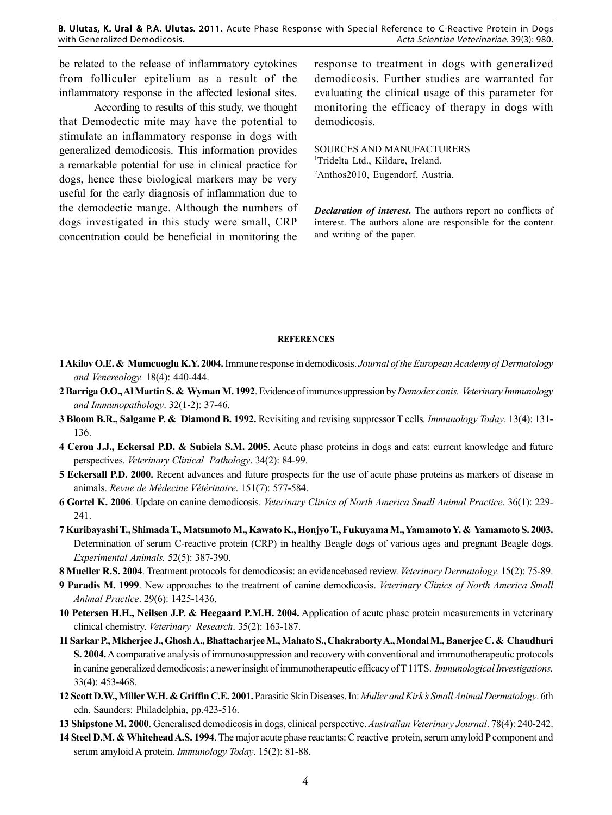B. Ulutas, K. Ural & P.A. Ulutas. 2011. Acute Phase Response with Special Reference to C-Reactive Protein in Dogs with Generalized Demodicosis. Acta Scientiae Veterinariae. 39(3): 980.

be related to the release of inflammatory cytokines from folliculer epitelium as a result of the inflammatory response in the affected lesional sites.

According to results of this study, we thought that Demodectic mite may have the potential to stimulate an inflammatory response in dogs with generalized demodicosis. This information provides a remarkable potential for use in clinical practice for dogs, hence these biological markers may be very useful for the early diagnosis of inflammation due to the demodectic mange. Although the numbers of dogs investigated in this study were small, CRP concentration could be beneficial in monitoring the response to treatment in dogs with generalized demodicosis. Further studies are warranted for evaluating the clinical usage of this parameter for monitoring the efficacy of therapy in dogs with demodicosis.

SOURCES AND MANUFACTURERS 1 Tridelta Ltd., Kildare, Ireland. 2 Anthos2010, Eugendorf, Austria.

*Declaration of interest***.** The authors report no conflicts of interest. The authors alone are responsible for the content and writing of the paper.

#### **REFERENCES**

- **1 Akilov O.E. & Mumcuoglu K.Y. 2004.** Immune response in demodicosis. *Journal of the European Academy of Dermatology and Venereology.* 18(4): 440-444.
- **2 Barriga O.O., Al Martin S. & Wyman M. 1992**. Evidence of immunosuppression by *Demodex canis. Veterinary Immunology and Immunopathology*. 32(1-2): 37-46.
- **3 Bloom B.R., Salgame P. & Diamond B. 1992.** Revisiting and revising suppressor T cells*. Immunology Today*. 13(4): 131- 136.
- **4 Ceron J.J., Eckersal P.D. & Subiela S.M. 2005**. Acute phase proteins in dogs and cats: current knowledge and future perspectives. *Veterinary Clinical Pathology*. 34(2): 84-99.
- **5 Eckersall P.D. 2000.** Recent advances and future prospects for the use of acute phase proteins as markers of disease in animals. *Revue de Médecine Vétérinaire*. 151(7): 577-584.
- **6 Gortel K. 2006**. Update on canine demodicosis. *Veterinary Clinics of North America Small Animal Practice*. 36(1): 229- 241.
- **7 Kuribayashi T., Shimada T., Matsumoto M., Kawato K., Honjyo T., Fukuyama M., Yamamoto Y. & Yamamoto S. 2003.** Determination of serum C-reactive protein (CRP) in healthy Beagle dogs of various ages and pregnant Beagle dogs. *Experimental Animals.* 52(5): 387-390.
- **8 Mueller R.S. 2004**. Treatment protocols for demodicosis: an evidencebased review. *Veterinary Dermatology.* 15(2): 75-89.
- **9 Paradis M. 1999**. New approaches to the treatment of canine demodicosis. *Veterinary Clinics of North America Small Animal Practice*. 29(6): 1425-1436.
- **10 Petersen H.H., Neilsen J.P. & Heegaard P.M.H. 2004.** Application of acute phase protein measurements in veterinary clinical chemistry. *Veterinary Research*. 35(2): 163-187.
- **11 Sarkar P., Mkherjee J., Ghosh A., Bhattacharjee M., Mahato S., Chakraborty A., Mondal M., Banerjee C. & Chaudhuri S. 2004.** A comparative analysis of immunosuppression and recovery with conventional and immunotherapeutic protocols in canine generalized demodicosis: a newer insight of immunotherapeutic efficacy of T 11TS. *Immunological Investigations.* 33(4): 453-468.
- **12 Scott D.W., Miller W.H. & Griffin C.E. 2001.** Parasitic Skin Diseases. In: *Muller and Kirk's Small Animal Dermatology*. 6th edn. Saunders: Philadelphia, pp.423-516.
- **13 Shipstone M. 2000**. Generalised demodicosis in dogs, clinical perspective. *Australian Veterinary Journal*. 78(4): 240-242.
- **14 Steel D.M. & Whitehead A.S. 1994**. The major acute phase reactants: C reactive protein, serum amyloid P component and serum amyloid A protein. *Immunology Today*. 15(2): 81-88.